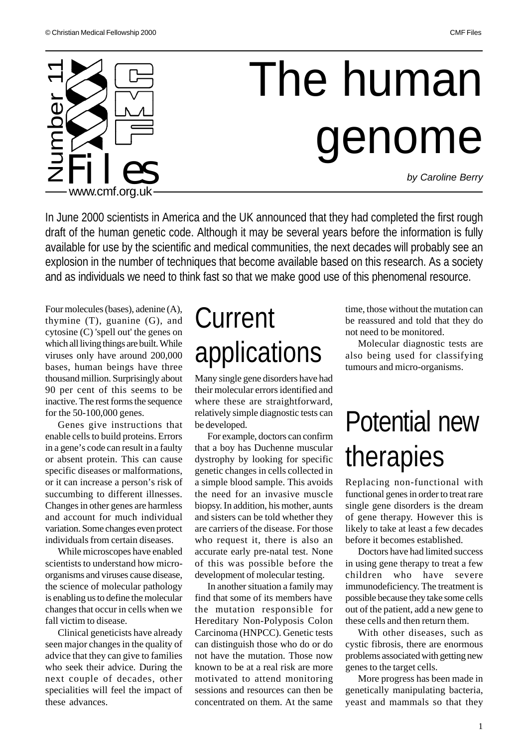

In June 2000 scientists in America and the UK announced that they had completed the first rough draft of the human genetic code. Although it may be several years before the information is fully available for use by the scientific and medical communities, the next decades will probably see an explosion in the number of techniques that become available based on this research. As a society and as individuals we need to think fast so that we make good use of this phenomenal resource.

Four molecules (bases), adenine (A), thymine (T), guanine (G), and cytosine (C) 'spell out' the genes on which all living things are built. While viruses only have around 200,000 bases, human beings have three thousand million. Surprisingly about 90 per cent of this seems to be inactive. The rest forms the sequence for the 50-100,000 genes.

Genes give instructions that enable cells to build proteins. Errors in a gene's code can result in a faulty or absent protein. This can cause specific diseases or malformations, or it can increase a person's risk of succumbing to different illnesses. Changes in other genes are harmless and account for much individual variation. Some changes even protect individuals from certain diseases.

While microscopes have enabled scientists to understand how microorganisms and viruses cause disease, the science of molecular pathology is enabling us to define the molecular changes that occur in cells when we fall victim to disease.

Clinical geneticists have already seen major changes in the quality of advice that they can give to families who seek their advice. During the next couple of decades, other specialities will feel the impact of these advances.

# **Current** applications

Many single gene disorders have had their molecular errors identified and where these are straightforward, relatively simple diagnostic tests can be developed.

For example, doctors can confirm that a boy has Duchenne muscular dystrophy by looking for specific genetic changes in cells collected in a simple blood sample. This avoids the need for an invasive muscle biopsy. In addition, his mother, aunts and sisters can be told whether they are carriers of the disease. For those who request it, there is also an accurate early pre-natal test. None of this was possible before the development of molecular testing.

In another situation a family may find that some of its members have the mutation responsible for Hereditary Non-Polyposis Colon Carcinoma (HNPCC). Genetic tests can distinguish those who do or do not have the mutation. Those now known to be at a real risk are more motivated to attend monitoring sessions and resources can then be concentrated on them. At the same time, those without the mutation can be reassured and told that they do not need to be monitored.

Molecular diagnostic tests are also being used for classifying tumours and micro-organisms.

# Potential new therapies

Replacing non-functional with functional genes in order to treat rare single gene disorders is the dream of gene therapy. However this is likely to take at least a few decades before it becomes established.

Doctors have had limited success in using gene therapy to treat a few children who have severe immunodeficiency. The treatment is possible because they take some cells out of the patient, add a new gene to these cells and then return them.

With other diseases, such as cystic fibrosis, there are enormous problems associated with getting new genes to the target cells.

More progress has been made in genetically manipulating bacteria, yeast and mammals so that they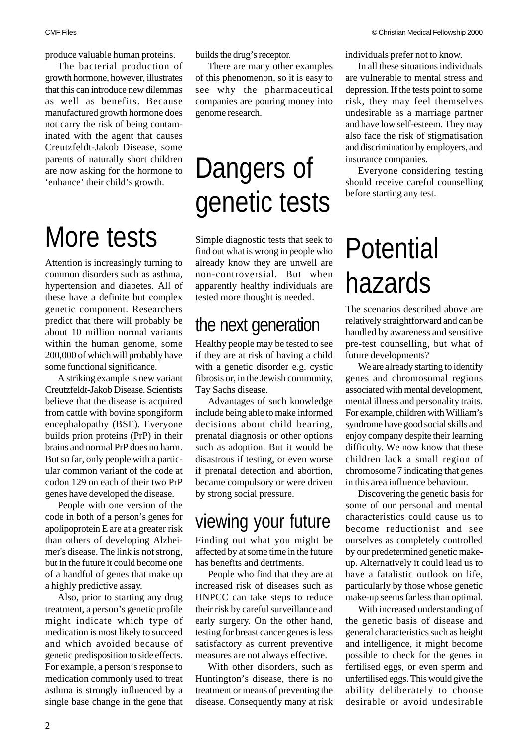produce valuable human proteins.

The bacterial production of growth hormone, however, illustrates that this can introduce new dilemmas as well as benefits. Because manufactured growth hormone does not carry the risk of being contaminated with the agent that causes Creutzfeldt-Jakob Disease, some parents of naturally short children are now asking for the hormone to 'enhance' their child's growth.

# More tests

Attention is increasingly turning to common disorders such as asthma, hypertension and diabetes. All of these have a definite but complex genetic component. Researchers predict that there will probably be about 10 million normal variants within the human genome, some 200,000 of which will probably have some functional significance.

A striking example is new variant Creutzfeldt-Jakob Disease. Scientists believe that the disease is acquired from cattle with bovine spongiform encephalopathy (BSE). Everyone builds prion proteins (PrP) in their brains and normal PrP does no harm. But so far, only people with a particular common variant of the code at codon 129 on each of their two PrP genes have developed the disease.

People with one version of the code in both of a person's genes for apolipoprotein E are at a greater risk than others of developing Alzheimer's disease. The link is not strong, but in the future it could become one of a handful of genes that make up a highly predictive assay.

Also, prior to starting any drug treatment, a person's genetic profile might indicate which type of medication is most likely to succeed and which avoided because of genetic predisposition to side effects. For example, a person's response to medication commonly used to treat asthma is strongly influenced by a single base change in the gene that

builds the drug's receptor.

There are many other examples of this phenomenon, so it is easy to see why the pharmaceutical companies are pouring money into genome research.

# Dangers of genetic tests

Simple diagnostic tests that seek to find out what is wrong in people who already know they are unwell are non-controversial. But when apparently healthy individuals are tested more thought is needed.

## the next generation

Healthy people may be tested to see if they are at risk of having a child with a genetic disorder e.g. cystic fibrosis or, in the Jewish community, Tay Sachs disease.

Advantages of such knowledge include being able to make informed decisions about child bearing, prenatal diagnosis or other options such as adoption. But it would be disastrous if testing, or even worse if prenatal detection and abortion, became compulsory or were driven by strong social pressure.

#### viewing your future

Finding out what you might be affected by at some time in the future has benefits and detriments.

People who find that they are at increased risk of diseases such as HNPCC can take steps to reduce their risk by careful surveillance and early surgery. On the other hand, testing for breast cancer genes is less satisfactory as current preventive measures are not always effective.

With other disorders, such as Huntington's disease, there is no treatment or means of preventing the disease. Consequently many at risk individuals prefer not to know.

In all these situations individuals are vulnerable to mental stress and depression. If the tests point to some risk, they may feel themselves undesirable as a marriage partner and have low self-esteem. They may also face the risk of stigmatisation and discrimination by employers, and insurance companies.

Everyone considering testing should receive careful counselling before starting any test.

# Potential hazards

The scenarios described above are relatively straightforward and can be handled by awareness and sensitive pre-test counselling, but what of future developments?

We are already starting to identify genes and chromosomal regions associated with mental development, mental illness and personality traits. For example, children with William's syndrome have good social skills and enjoy company despite their learning difficulty. We now know that these children lack a small region of chromosome 7 indicating that genes in this area influence behaviour.

Discovering the genetic basis for some of our personal and mental characteristics could cause us to become reductionist and see ourselves as completely controlled by our predetermined genetic makeup. Alternatively it could lead us to have a fatalistic outlook on life, particularly by those whose genetic make-up seems far less than optimal.

With increased understanding of the genetic basis of disease and general characteristics such as height and intelligence, it might become possible to check for the genes in fertilised eggs, or even sperm and unfertilised eggs. This would give the ability deliberately to choose desirable or avoid undesirable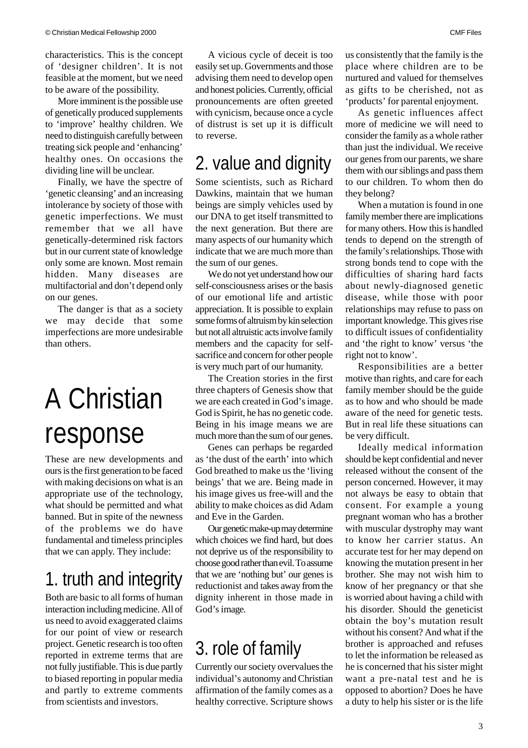characteristics. This is the concept of 'designer children'. It is not feasible at the moment, but we need to be aware of the possibility.

More imminent is the possible use of genetically produced supplements to 'improve' healthy children. We need to distinguish carefully between treating sick people and 'enhancing' healthy ones. On occasions the dividing line will be unclear.

Finally, we have the spectre of 'genetic cleansing' and an increasing intolerance by society of those with genetic imperfections. We must remember that we all have genetically-determined risk factors but in our current state of knowledge only some are known. Most remain hidden. Many diseases are multifactorial and don't depend only on our genes.

The danger is that as a society we may decide that some imperfections are more undesirable than others.

# A Christian response

These are new developments and ours is the first generation to be faced with making decisions on what is an appropriate use of the technology, what should be permitted and what banned. But in spite of the newness of the problems we do have fundamental and timeless principles that we can apply. They include:

## 1. truth and integrity

Both are basic to all forms of human interaction including medicine. All of us need to avoid exaggerated claims for our point of view or research project. Genetic research is too often reported in extreme terms that are not fully justifiable. This is due partly to biased reporting in popular media and partly to extreme comments from scientists and investors.

A vicious cycle of deceit is too easily set up. Governments and those advising them need to develop open and honest policies. Currently, official pronouncements are often greeted with cynicism, because once a cycle of distrust is set up it is difficult to reverse.

## 2. value and dignity

Some scientists, such as Richard Dawkins, maintain that we human beings are simply vehicles used by our DNA to get itself transmitted to the next generation. But there are many aspects of our humanity which indicate that we are much more than the sum of our genes.

We do not yet understand how our self-consciousness arises or the basis of our emotional life and artistic appreciation. It is possible to explain some forms of altruism by kin selection but not all altruistic acts involve family members and the capacity for selfsacrifice and concern for other people is very much part of our humanity.

The Creation stories in the first three chapters of Genesis show that we are each created in God's image. God is Spirit, he has no genetic code. Being in his image means we are much more than the sum of our genes.

Genes can perhaps be regarded as 'the dust of the earth' into which God breathed to make us the 'living beings' that we are. Being made in his image gives us free-will and the ability to make choices as did Adam and Eve in the Garden.

Our genetic make-up may determine which choices we find hard, but does not deprive us of the responsibility to choose good rather than evil. To assume that we are 'nothing but' our genes is reductionist and takes away from the dignity inherent in those made in God'simage.

## 3. role of family

Currently our society overvalues the individual's autonomy and Christian affirmation of the family comes as a healthy corrective. Scripture shows

us consistently that the family is the place where children are to be nurtured and valued for themselves as gifts to be cherished, not as 'products' for parental enjoyment.

As genetic influences affect more of medicine we will need to consider the family as a whole rather than just the individual. We receive our genes from our parents, we share them with our siblings and pass them to our children. To whom then do they belong?

When a mutation is found in one family member there are implications for many others. How this is handled tends to depend on the strength of the family's relationships. Those with strong bonds tend to cope with the difficulties of sharing hard facts about newly-diagnosed genetic disease, while those with poor relationships may refuse to pass on important knowledge. This gives rise to difficult issues of confidentiality and 'the right to know' versus 'the right not to know'.

Responsibilities are a better motive than rights, and care for each family member should be the guide as to how and who should be made aware of the need for genetic tests. But in real life these situations can be very difficult.

Ideally medical information should be kept confidential and never released without the consent of the person concerned. However, it may not always be easy to obtain that consent. For example a young pregnant woman who has a brother with muscular dystrophy may want to know her carrier status. An accurate test for her may depend on knowing the mutation present in her brother. She may not wish him to know of her pregnancy or that she is worried about having a child with his disorder. Should the geneticist obtain the boy's mutation result without his consent? And what if the brother is approached and refuses to let the information be released as he is concerned that his sister might want a pre-natal test and he is opposed to abortion? Does he have a duty to help his sister or is the life